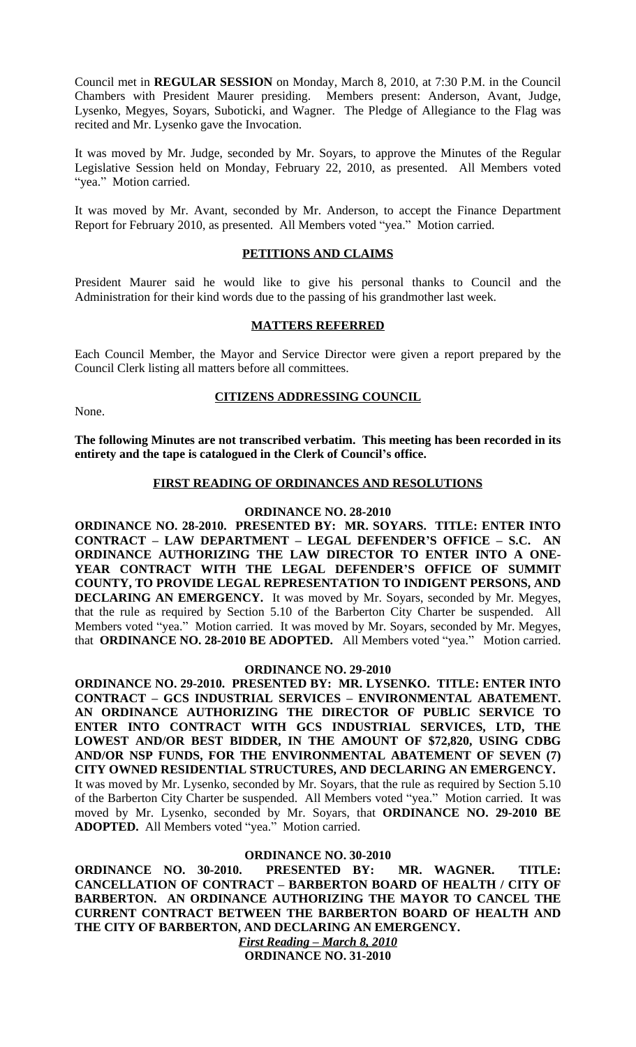Council met in **REGULAR SESSION** on Monday, March 8, 2010, at 7:30 P.M. in the Council Chambers with President Maurer presiding. Members present: Anderson, Avant, Judge, Lysenko, Megyes, Soyars, Suboticki, and Wagner. The Pledge of Allegiance to the Flag was recited and Mr. Lysenko gave the Invocation.

It was moved by Mr. Judge, seconded by Mr. Soyars, to approve the Minutes of the Regular Legislative Session held on Monday, February 22, 2010, as presented. All Members voted "yea." Motion carried.

It was moved by Mr. Avant, seconded by Mr. Anderson, to accept the Finance Department Report for February 2010, as presented. All Members voted "yea." Motion carried.

### **PETITIONS AND CLAIMS**

President Maurer said he would like to give his personal thanks to Council and the Administration for their kind words due to the passing of his grandmother last week.

### **MATTERS REFERRED**

Each Council Member, the Mayor and Service Director were given a report prepared by the Council Clerk listing all matters before all committees.

None.

#### **CITIZENS ADDRESSING COUNCIL**

**The following Minutes are not transcribed verbatim. This meeting has been recorded in its entirety and the tape is catalogued in the Clerk of Council's office.**

### **FIRST READING OF ORDINANCES AND RESOLUTIONS**

## **ORDINANCE NO. 28-2010**

**ORDINANCE NO. 28-2010. PRESENTED BY: MR. SOYARS. TITLE: ENTER INTO CONTRACT – LAW DEPARTMENT – LEGAL DEFENDER'S OFFICE – S.C. AN ORDINANCE AUTHORIZING THE LAW DIRECTOR TO ENTER INTO A ONE-YEAR CONTRACT WITH THE LEGAL DEFENDER'S OFFICE OF SUMMIT COUNTY, TO PROVIDE LEGAL REPRESENTATION TO INDIGENT PERSONS, AND DECLARING AN EMERGENCY.** It was moved by Mr. Soyars, seconded by Mr. Megyes, that the rule as required by Section 5.10 of the Barberton City Charter be suspended. All Members voted "yea." Motion carried. It was moved by Mr. Soyars, seconded by Mr. Megyes, that **ORDINANCE NO. 28-2010 BE ADOPTED.** All Members voted "yea." Motion carried.

#### **ORDINANCE NO. 29-2010**

**ORDINANCE NO. 29-2010. PRESENTED BY: MR. LYSENKO. TITLE: ENTER INTO CONTRACT – GCS INDUSTRIAL SERVICES – ENVIRONMENTAL ABATEMENT. AN ORDINANCE AUTHORIZING THE DIRECTOR OF PUBLIC SERVICE TO ENTER INTO CONTRACT WITH GCS INDUSTRIAL SERVICES, LTD, THE LOWEST AND/OR BEST BIDDER, IN THE AMOUNT OF \$72,820, USING CDBG AND/OR NSP FUNDS, FOR THE ENVIRONMENTAL ABATEMENT OF SEVEN (7) CITY OWNED RESIDENTIAL STRUCTURES, AND DECLARING AN EMERGENCY.** It was moved by Mr. Lysenko, seconded by Mr. Soyars, that the rule as required by Section 5.10 of the Barberton City Charter be suspended. All Members voted "yea." Motion carried. It was moved by Mr. Lysenko, seconded by Mr. Soyars, that **ORDINANCE NO. 29-2010 BE ADOPTED.** All Members voted "yea." Motion carried.

### **ORDINANCE NO. 30-2010**

**ORDINANCE NO. 30-2010. PRESENTED BY: MR. WAGNER. TITLE: CANCELLATION OF CONTRACT – BARBERTON BOARD OF HEALTH / CITY OF BARBERTON. AN ORDINANCE AUTHORIZING THE MAYOR TO CANCEL THE CURRENT CONTRACT BETWEEN THE BARBERTON BOARD OF HEALTH AND THE CITY OF BARBERTON, AND DECLARING AN EMERGENCY.**

> *First Reading – March 8, 2010* **ORDINANCE NO. 31-2010**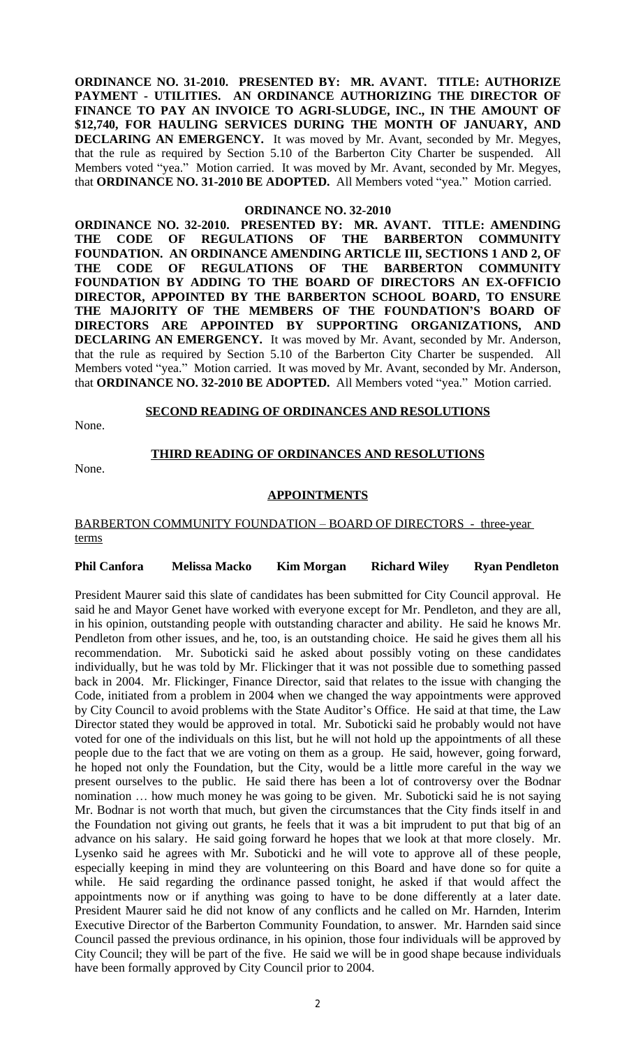**ORDINANCE NO. 31-2010. PRESENTED BY: MR. AVANT. TITLE: AUTHORIZE PAYMENT - UTILITIES. AN ORDINANCE AUTHORIZING THE DIRECTOR OF FINANCE TO PAY AN INVOICE TO AGRI-SLUDGE, INC., IN THE AMOUNT OF \$12,740, FOR HAULING SERVICES DURING THE MONTH OF JANUARY, AND DECLARING AN EMERGENCY.** It was moved by Mr. Avant, seconded by Mr. Megyes, that the rule as required by Section 5.10 of the Barberton City Charter be suspended. All Members voted "yea." Motion carried. It was moved by Mr. Avant, seconded by Mr. Megyes, that **ORDINANCE NO. 31-2010 BE ADOPTED.** All Members voted "yea." Motion carried.

#### **ORDINANCE NO. 32-2010**

**ORDINANCE NO. 32-2010. PRESENTED BY: MR. AVANT. TITLE: AMENDING THE CODE OF REGULATIONS OF THE BARBERTON COMMUNITY FOUNDATION. AN ORDINANCE AMENDING ARTICLE III, SECTIONS 1 AND 2, OF THE CODE OF REGULATIONS OF THE BARBERTON COMMUNITY FOUNDATION BY ADDING TO THE BOARD OF DIRECTORS AN EX-OFFICIO DIRECTOR, APPOINTED BY THE BARBERTON SCHOOL BOARD, TO ENSURE THE MAJORITY OF THE MEMBERS OF THE FOUNDATION'S BOARD OF DIRECTORS ARE APPOINTED BY SUPPORTING ORGANIZATIONS, AND DECLARING AN EMERGENCY.** It was moved by Mr. Avant, seconded by Mr. Anderson, that the rule as required by Section 5.10 of the Barberton City Charter be suspended. All Members voted "yea." Motion carried. It was moved by Mr. Avant, seconded by Mr. Anderson, that **ORDINANCE NO. 32-2010 BE ADOPTED.** All Members voted "yea." Motion carried.

### **SECOND READING OF ORDINANCES AND RESOLUTIONS**

None.

## **THIRD READING OF ORDINANCES AND RESOLUTIONS**

None.

### **APPOINTMENTS**

## BARBERTON COMMUNITY FOUNDATION – BOARD OF DIRECTORS - three-year terms

## **Phil Canfora Melissa Macko Kim Morgan Richard Wiley Ryan Pendleton**

President Maurer said this slate of candidates has been submitted for City Council approval. He said he and Mayor Genet have worked with everyone except for Mr. Pendleton, and they are all, in his opinion, outstanding people with outstanding character and ability. He said he knows Mr. Pendleton from other issues, and he, too, is an outstanding choice. He said he gives them all his recommendation. Mr. Suboticki said he asked about possibly voting on these candidates individually, but he was told by Mr. Flickinger that it was not possible due to something passed back in 2004. Mr. Flickinger, Finance Director, said that relates to the issue with changing the Code, initiated from a problem in 2004 when we changed the way appointments were approved by City Council to avoid problems with the State Auditor's Office. He said at that time, the Law Director stated they would be approved in total. Mr. Suboticki said he probably would not have voted for one of the individuals on this list, but he will not hold up the appointments of all these people due to the fact that we are voting on them as a group. He said, however, going forward, he hoped not only the Foundation, but the City, would be a little more careful in the way we present ourselves to the public. He said there has been a lot of controversy over the Bodnar nomination … how much money he was going to be given. Mr. Suboticki said he is not saying Mr. Bodnar is not worth that much, but given the circumstances that the City finds itself in and the Foundation not giving out grants, he feels that it was a bit imprudent to put that big of an advance on his salary. He said going forward he hopes that we look at that more closely. Mr. Lysenko said he agrees with Mr. Suboticki and he will vote to approve all of these people, especially keeping in mind they are volunteering on this Board and have done so for quite a while. He said regarding the ordinance passed tonight, he asked if that would affect the appointments now or if anything was going to have to be done differently at a later date. President Maurer said he did not know of any conflicts and he called on Mr. Harnden, Interim Executive Director of the Barberton Community Foundation, to answer. Mr. Harnden said since Council passed the previous ordinance, in his opinion, those four individuals will be approved by City Council; they will be part of the five. He said we will be in good shape because individuals have been formally approved by City Council prior to 2004.